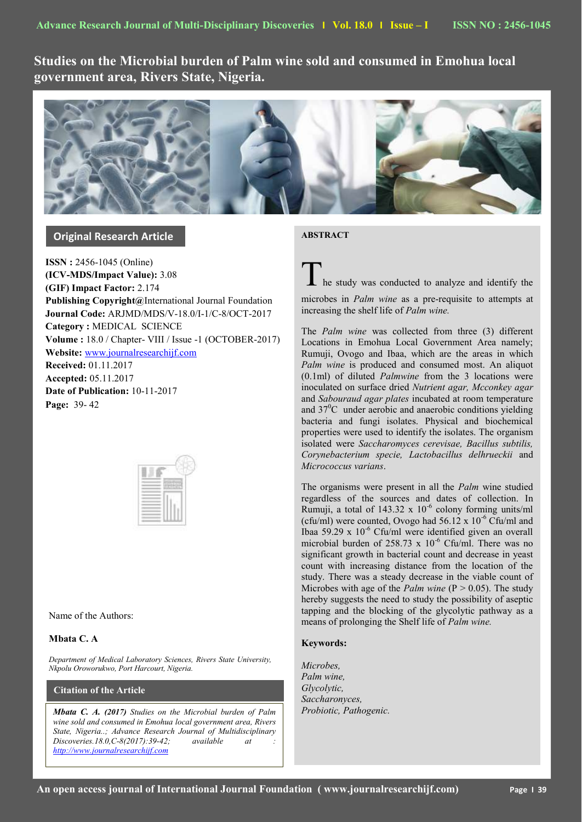**Studies on the Microbial burden of Palm wine sold and consumed in Emohua local government area, Rivers State, Nigeria.**



# **Original Research Article**

**ISSN :** 2456-1045 (Online) **(ICV-MDS/Impact Value):** 3.08 **(GIF) Impact Factor:** 2.174 **Publishing Copyright@**International Journal Foundation **Journal Code:** ARJMD/MDS/V-18.0/I-1/C-8/OCT-2017 **Category :** MEDICAL SCIENCE **Volume :** 18.0 / Chapter- VIII / Issue -1 (OCTOBER-2017) **Website:** [www.journalresearchijf.com](http://www.journalresearchijf.com/) **Received:** 01.11.2017 **Accepted:** 05.11.2017 **Date of Publication:** 10-11-2017 **Page:** 39- 42



Name of the Authors:

# **Mbata C. A**

*Department of Medical Laboratory Sciences, Rivers State University, Nkpolu Oroworukwo, Port Harcourt, Nigeria.*

# **Citation of the Article**

*Mbata C. A. (2017) Studies on the Microbial burden of Palm wine sold and consumed in Emohua local government area, Rivers State, Nigeria..; Advance Research Journal of Multidisciplinary Discoveries.18.0,C-8(2017):39-42; available at : [http://www.journalresearchijf.com](http://www.journalresearchijf.com/)*

**ABSTRACT** 

he study was conducted to analyze and identify the

microbes in *Palm wine* as a pre-requisite to attempts at increasing the shelf life of *Palm wine.*

The *Palm wine* was collected from three (3) different Locations in Emohua Local Government Area namely; Rumuji, Ovogo and Ibaa, which are the areas in which *Palm wine* is produced and consumed most. An aliquot (0.1ml) of diluted *Palmwine* from the 3 locations were inoculated on surface dried *Nutrient agar, Mcconkey agar* and *Sabouraud agar plates* incubated at room temperature and  $37^0$ C under aerobic and anaerobic conditions yielding bacteria and fungi isolates. Physical and biochemical properties were used to identify the isolates. The organism isolated were *Saccharomyces cerevisae, Bacillus subtilis, Corynebacterium specie, Lactobacillus delhrueckii* and *Micrococcus varians*.

The organisms were present in all the *Palm* wine studied regardless of the sources and dates of collection. In Rumuji, a total of  $143.32 \times 10^{-6}$  colony forming units/ml (cfu/ml) were counted, Ovogo had  $56.12 \times 10^{-6}$  Cfu/ml and Ibaa 59.29 x 10-6 Cfu/ml were identified given an overall microbial burden of 258.73 x  $10^{-6}$  Cfu/ml. There was no significant growth in bacterial count and decrease in yeast count with increasing distance from the location of the study. There was a steady decrease in the viable count of Microbes with age of the *Palm wine* (P > 0.05). The study hereby suggests the need to study the possibility of aseptic tapping and the blocking of the glycolytic pathway as a means of prolonging the Shelf life of *Palm wine.*

# **Keywords:**

*Microbes, Palm wine, Glycolytic, Saccharonyces, Probiotic, Pathogenic.*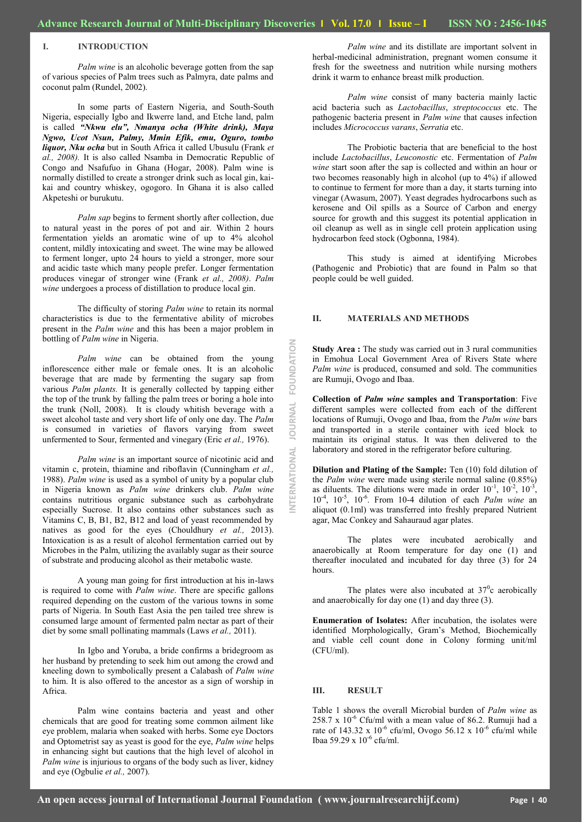**INTERNATIONAL JOURNAL FOUNDATION**

**JOURNAL** 

ERNATIONAL

FOUNDATION

#### **I. INTRODUCTION**

*Palm wine* is an alcoholic beverage gotten from the sap of various species of Palm trees such as Palmyra, date palms and coconut palm (Rundel, 2002).

In some parts of Eastern Nigeria, and South-South Nigeria, especially Igbo and Ikwerre land, and Etche land, palm is called *"Nkwu elu", Nmanya ocha (White drink), Maya Ngwo, Ucot Nsun, Palmy, Mmin Efik, emu, Oguro, tombo liquor, Nku ocha* but in South Africa it called Ubusulu (Frank *et al., 2008).* It is also called Nsamba in Democratic Republic of Congo and Nsafufuo in Ghana (Hogar, 2008). Palm wine is normally distilled to create a stronger drink such as local gin, kaikai and country whiskey, ogogoro. In Ghana it is also called Akpeteshi or burukutu.

*Palm sap* begins to ferment shortly after collection, due to natural yeast in the pores of pot and air. Within 2 hours fermentation yields an aromatic wine of up to 4% alcohol content, mildly intoxicating and sweet. The wine may be allowed to ferment longer, upto 24 hours to yield a stronger, more sour and acidic taste which many people prefer. Longer fermentation produces vinegar of stronger wine (Frank *et al., 2008)*. *Palm wine* undergoes a process of distillation to produce local gin.

The difficulty of storing *Palm wine* to retain its normal characteristics is due to the fermentative ability of microbes present in the *Palm wine* and this has been a major problem in bottling of *Palm wine* in Nigeria.

*Palm wine* can be obtained from the young inflorescence either male or female ones. It is an alcoholic beverage that are made by fermenting the sugary sap from various *Palm plants.* It is generally collected by tapping either the top of the trunk by falling the palm trees or boring a hole into the trunk (Noll, 2008). It is cloudy whitish beverage with a sweet alcohol taste and very short life of only one day. The *Palm*  is consumed in varieties of flavors varying from sweet unfermented to Sour, fermented and vinegary (Eric *et al.,* 1976).

*Palm wine* is an important source of nicotinic acid and vitamin c, protein, thiamine and riboflavin (Cunningham *et al.,*  1988). *Palm wine* is used as a symbol of unity by a popular club in Nigeria known as *Palm wine* drinkers club. *Palm wine* contains nutritious organic substance such as carbohydrate especially Sucrose. It also contains other substances such as Vitamins C, B, B1, B2, B12 and load of yeast recommended by natives as good for the eyes (Chouldhury *et al.,* 2013). Intoxication is as a result of alcohol fermentation carried out by Microbes in the Palm, utilizing the availably sugar as their source of substrate and producing alcohol as their metabolic waste.

A young man going for first introduction at his in-laws is required to come with *Palm wine*. There are specific gallons required depending on the custom of the various towns in some parts of Nigeria. In South East Asia the pen tailed tree shrew is consumed large amount of fermented palm nectar as part of their diet by some small pollinating mammals (Laws *et al.,* 2011).

In Igbo and Yoruba, a bride confirms a bridegroom as her husband by pretending to seek him out among the crowd and kneeling down to symbolically present a Calabash of *Palm wine* to him. It is also offered to the ancestor as a sign of worship in Africa.

Palm wine contains bacteria and yeast and other chemicals that are good for treating some common ailment like eye problem, malaria when soaked with herbs. Some eye Doctors and Optometrist say as yeast is good for the eye, *Palm wine* helps in enhancing sight but cautions that the high level of alcohol in *Palm wine* is injurious to organs of the body such as liver, kidney and eye (Ogbulie *et al.,* 2007).

*Palm wine* and its distillate are important solvent in herbal-medicinal administration, pregnant women consume it fresh for the sweetness and nutrition while nursing mothers drink it warm to enhance breast milk production.

*Palm wine* consist of many bacteria mainly lactic acid bacteria such as *Lactobacillus*, *streptococcus* etc. The pathogenic bacteria present in *Palm wine* that causes infection includes *Micrococcus varans*, *Serratia* etc.

The Probiotic bacteria that are beneficial to the host include *Lactobacillus*, *Leuconostic* etc. Fermentation of *Palm wine* start soon after the sap is collected and within an hour or two becomes reasonably high in alcohol (up to 4%) if allowed to continue to ferment for more than a day, it starts turning into vinegar (Awasum, 2007). Yeast degrades hydrocarbons such as kerosene and Oil spills as a Source of Carbon and energy source for growth and this suggest its potential application in oil cleanup as well as in single cell protein application using hydrocarbon feed stock (Ogbonna, 1984).

This study is aimed at identifying Microbes (Pathogenic and Probiotic) that are found in Palm so that people could be well guided.

#### **II. MATERIALS AND METHODS**

**Study Area :** The study was carried out in 3 rural communities in Emohua Local Government Area of Rivers State where *Palm wine* is produced, consumed and sold. The communities are Rumuji, Ovogo and Ibaa.

**Collection of** *Palm wine* **samples and Transportation**: Five different samples were collected from each of the different locations of Rumuji, Ovogo and Ibaa, from the *Palm wine* bars and transported in a sterile container with iced block to maintain its original status. It was then delivered to the laboratory and stored in the refrigerator before culturing.

**Dilution and Plating of the Sample:** Ten (10) fold dilution of the *Palm wine* were made using sterile normal saline (0.85%) as diluents. The dilutions were made in order  $10^{-1}$ ,  $10^{-2}$ ,  $10^{-3}$ , 10-4 , 10-5 , 10-6 . From 10-4 dilution of each *Palm wine* an aliquot (0.1ml) was transferred into freshly prepared Nutrient agar, Mac Conkey and Sahauraud agar plates.

The plates were incubated aerobically and anaerobically at Room temperature for day one (1) and thereafter inoculated and incubated for day three (3) for 24 hours.

The plates were also incubated at  $37^\circ$ c aerobically and anaerobically for day one (1) and day three (3).

**Enumeration of Isolates:** After incubation, the isolates were identified Morphologically, Gram's Method, Biochemically and viable cell count done in Colony forming unit/ml (CFU/ml).

## **III. RESULT**

Table 1 shows the overall Microbial burden of *Palm wine* as 258.7 x  $10^{-6}$  Cfu/ml with a mean value of 86.2. Rumuji had a rate of 143.32 x  $10^{-6}$  cfu/ml, Ovogo 56.12 x  $10^{-6}$  cfu/ml while Ibaa 59.29 x 10<sup>-6</sup> cfu/ml.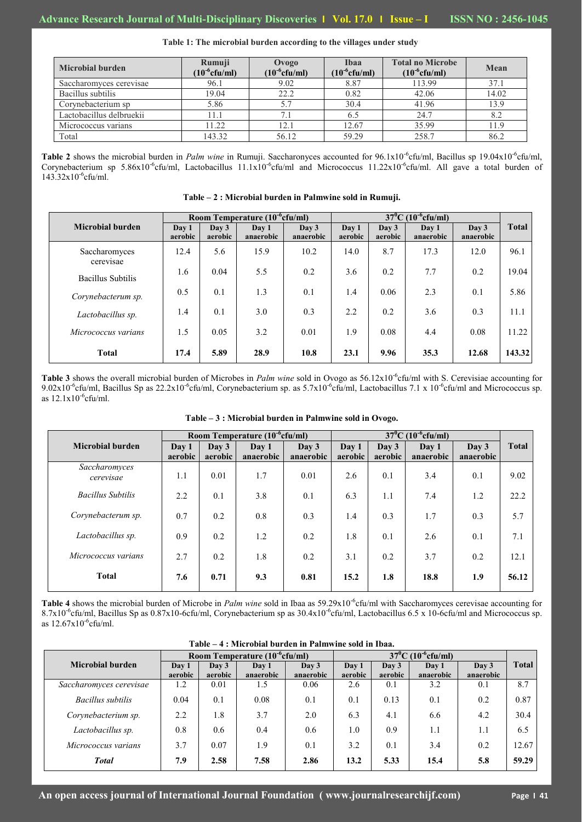| <b>Microbial burden</b>  | Rumuji<br>$(10^{-6}$ cfu/ml) | Ovogo<br>$(10^{\text{-}6} \text{cfu/ml})$ | Ibaa<br>$(10^{-6}$ cfu/ml) | <b>Total no Microbe</b><br>$(10^{-6}$ cfu/ml) | Mean  |  |
|--------------------------|------------------------------|-------------------------------------------|----------------------------|-----------------------------------------------|-------|--|
| Saccharomyces cerevisae  | 96.1                         | 9.02                                      | 8.87                       | 113.99                                        | 37.1  |  |
| Bacillus subtilis        | 19.04                        | 22.2                                      | 0.82                       | 42.06                                         | 14.02 |  |
| Corynebacterium sp       | 5.86                         |                                           | 30.4                       | 41.96                                         | 13.9  |  |
| Lactobacillus delbruekii | . 1.1                        | 7.                                        |                            | 24.7                                          | 8.2   |  |
| Micrococcus varians      | 11.22                        | 12.1                                      | 12.67                      | 35.99                                         | 11.9  |  |
| Total                    | 143.32                       | 56.12                                     | 59.29                      | 258.7                                         | 86.2  |  |

**Table 1: The microbial burden according to the villages under study**

Table 2 shows the microbial burden in *Palm wine* in Rumuji. Saccharonyces accounted for 96.1x10<sup>-6</sup>cfu/ml, Bacillus sp 19.04x10<sup>-6</sup>cfu/ml, Corynebacterium sp 5.86x10<sup>-6</sup>cfu/ml, Lactobacillus 11.1x10<sup>-6</sup>cfu/ml and Micrococcus 11.22x10<sup>-6</sup>cfu/ml. All gave a total burden of 143.32x10-6 cfu/ml.

**Table – 2 : Microbial burden in Palmwine sold in Rumuji.**

**Microbial burden Room Temperature (10<sup>-6</sup>cfu/ml) 37<sup>°</sup>C (10<sup>-6</sup>**  $(10^{-6}$ cfu/ml) **Day 1 Day 3 Day 1 Day 3 Day 1 Day 1 Day 3 Day 1 Day 3 Day 3 Total aerobic Day 3 aerobic Day 1 anaerobic Day 3 anaerobic Day 1 aerobic Day 3 aerobic Day 1 anaerobic Day 3 anaerobic** Saccharomyces cerevisae Bacillus Subtilis *Corynebacterum sp. Lactobacillus sp. Micrococcus varians* **Total** 12.4 1.6 0.5 1.4 1.5 **17.4** 5.6 0.04 0.1 0.1 0.05 **5.89** 15.9 5.5 1.3 3.0 3.2 **28.9** 10.2 0.2 0.1 0.3 0.01 **10.8** 14.0 3.6 1.4 2.2 1.9 **23.1** 8.7 0.2 0.06 0.2 0.08 **9.96** 17.3 7.7 2.3 3.6 4.4 **35.3** 12.0 0.2 0.1 0.3 0.08 **12.68** 96.1 19.04 5.86 11.1 11.22 **143.32**

**Table 3** shows the overall microbial burden of Microbes in *Palm wine* sold in Ovogo as 56.12x10<sup>-6</sup>cfu/ml with S. Cerevisiae accounting for 9.02x10<sup>-6</sup>cfu/ml, Bacillus Sp as 22.2x10<sup>-6</sup>cfu/ml, Corynebacterium sp. as 5.7x10<sup>-6</sup>cfu/ml, Lactobacillus 7.1 x 10<sup>-6</sup>cfu/ml and Micrococcus sp. as  $12.1x10^{-6}$ cfu/ml.

|                            | Room Temperature (10 <sup>-6</sup> cfu/ml) |                          |                    |                            | $37^0$ C (10 <sup>-6</sup> cfu/ml) |                          |                    |                            |              |
|----------------------------|--------------------------------------------|--------------------------|--------------------|----------------------------|------------------------------------|--------------------------|--------------------|----------------------------|--------------|
| <b>Microbial burden</b>    | Day 1<br>aerobic                           | $\bf{D}$ av 3<br>aerobic | Day 1<br>anaerobic | $\bf{D}$ av 3<br>anaerobic | Day 1<br>aerobic                   | $\bf{D}$ av 3<br>aerobic | Day 1<br>anaerobic | $\bf{D}$ av 3<br>anaerobic | <b>Total</b> |
| Saccharomyces<br>cerevisae | 1.1                                        | 0.01                     | 1.7                | 0.01                       | 2.6                                | 0.1                      | 3.4                | 0.1                        | 9.02         |
| <b>Bacillus Subtilis</b>   | 2.2                                        | 0.1                      | 3.8                | 0.1                        | 6.3                                | 1.1                      | 7.4                | 1.2                        | 22.2         |
| Corynebacterum sp.         | 0.7                                        | 0.2                      | 0.8                | 0.3                        | 1.4                                | 0.3                      | 1.7                | 0.3                        | 5.7          |
| Lactobacillus sp.          | 0.9                                        | 0.2                      | 1.2                | 0.2                        | 1.8                                | 0.1                      | 2.6                | 0.1                        | 7.1          |
| Micrococcus varians        | 2.7                                        | 0.2                      | 1.8                | 0.2                        | 3.1                                | 0.2                      | 3.7                | 0.2                        | 12.1         |
| <b>Total</b>               | 7.6                                        | 0.71                     | 9.3                | 0.81                       | 15.2                               | 1.8                      | 18.8               | 1.9                        | 56.12        |

# **Table – 3 : Microbial burden in Palmwine sold in Ovogo.**

**Table 4** shows the microbial burden of Microbe in *Palm wine* sold in Ibaa as 59.29x10<sup>-6</sup>cfu/ml with Saccharomyces cerevisae accounting for 8.7x10<sup>-6</sup>cfu/ml, Bacillus Sp as 0.87x10-6cfu/ml, Corynebacterium sp as  $30.4 \times 10^{-6}$ cfu/ml, Lactobacillus 6.5 x 10-6cfu/ml and Micrococcus sp. as 12.67x10-6 cfu/ml.

|  |  | Table – 4 : Microbial burden in Palmwine sold in Ibaa. |  |  |  |  |  |
|--|--|--------------------------------------------------------|--|--|--|--|--|
|--|--|--------------------------------------------------------|--|--|--|--|--|

|                         | Room Temperature (10 <sup>-6</sup> cfu/ml) |               |           |           | $37^0$ C $(10^{-6}$ cfu/ml) |               |           |               |              |
|-------------------------|--------------------------------------------|---------------|-----------|-----------|-----------------------------|---------------|-----------|---------------|--------------|
| Microbial burden        | Day 1                                      | $\bf{D}$ av 3 | Day 1     | Day 3     | Day 1                       | $\bf{D}$ av 3 | Day 1     | $\bf{D}$ av 3 | <b>Total</b> |
|                         | aerobic                                    | aerobic       | anaerobic | anaerobic | aerobic                     | aerobic       | anaerobic | anaerobic     |              |
| Saccharomyces cerevisae | 1.2                                        | 0.01          | 1.5       | 0.06      | 2.6                         | 0.1           | 3.2       | 0.1           | 8.7          |
| Bacillus subtilis       | 0.04                                       | 0.1           | 0.08      | 0.1       | 0.1                         | 0.13          | 0.1       | 0.2           | 0.87         |
| Corynebacterium sp.     | 2.2                                        | 1.8           | 3.7       | 2.0       | 6.3                         | 4.1           | 6.6       | 4.2           | 30.4         |
| Lactobacillus sp.       | 0.8                                        | 0.6           | 0.4       | 0.6       | 1.0                         | 0.9           | 1.1       | 1.1           | 6.5          |
| Micrococcus varians     | 3.7                                        | 0.07          | 1.9       | 0.1       | 3.2                         | 0.1           | 3.4       | 0.2           | 12.67        |
| <b>Total</b>            | 7.9                                        | 2.58          | 7.58      | 2.86      | 13.2                        | 5.33          | 15.4      | 5.8           | 59.29        |